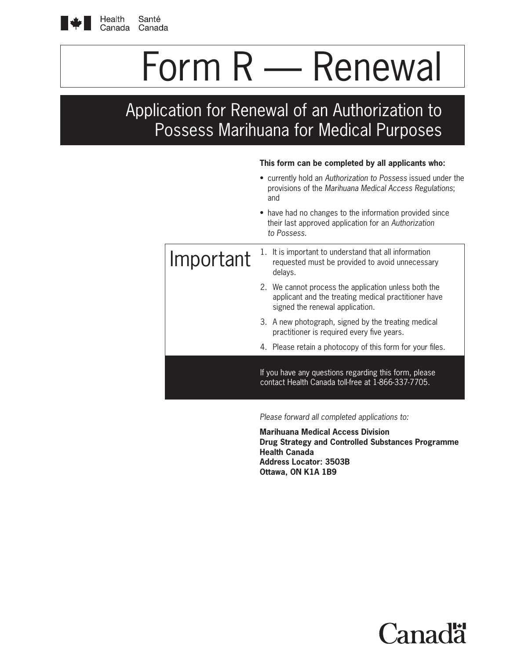

Health Santé Canada Canada

# Form R — Renewal

Application for Renewal of an Authorization to Possess Marihuana for Medical Purposes

#### **This form can be completed by all applicants who:**

|           |                                                                                                                                | • currently hold an Authorization to Possess issued under the<br>provisions of the Marihuana Medical Access Regulations;<br>and                 |  |  |
|-----------|--------------------------------------------------------------------------------------------------------------------------------|-------------------------------------------------------------------------------------------------------------------------------------------------|--|--|
|           | • have had no changes to the information provided since<br>their last approved application for an Authorization<br>to Possess. |                                                                                                                                                 |  |  |
| Important |                                                                                                                                | 1. It is important to understand that all information<br>requested must be provided to avoid unnecessary<br>delays.                             |  |  |
|           |                                                                                                                                | 2. We cannot process the application unless both the<br>applicant and the treating medical practitioner have<br>signed the renewal application. |  |  |
|           |                                                                                                                                | 3. A new photograph, signed by the treating medical<br>practitioner is required every five years.                                               |  |  |
|           |                                                                                                                                | 4. Please retain a photocopy of this form for your files.                                                                                       |  |  |
|           | If you have any questions regarding this form, please<br>contact Health Canada toll-free at 1-866-337-7705.                    |                                                                                                                                                 |  |  |

*Please forward all completed applications to:*

**Marihuana Medical Access Division Drug Strategy and Controlled Substances Programme Health Canada Address Locator: 3503B Ottawa, ON K1A 1B9**

'anac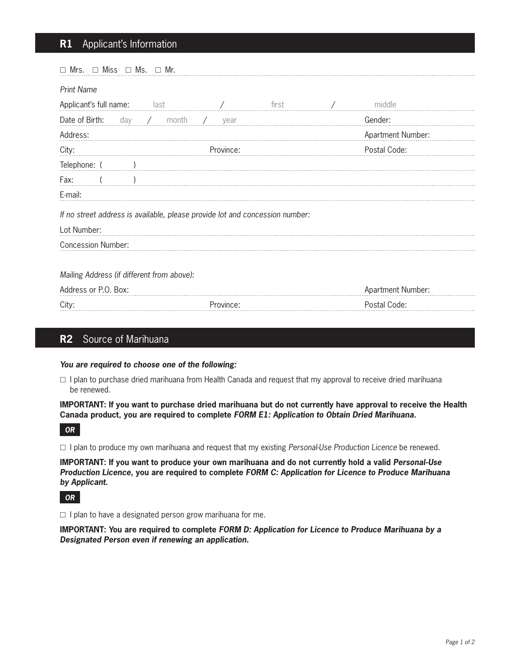# **R1** Applicant's Information

| $\Box$ Miss $\Box$ Ms.<br>$\Box$ Mr.<br>$\Box$ Mrs.                          |                       |       |  |                          |  |  |  |  |
|------------------------------------------------------------------------------|-----------------------|-------|--|--------------------------|--|--|--|--|
| <b>Print Name</b>                                                            |                       |       |  |                          |  |  |  |  |
| Applicant's full name: last                                                  |                       | first |  | middle                   |  |  |  |  |
| Date of Birth:<br>day / month                                                | $\frac{1}{2}$<br>year |       |  | Gender:                  |  |  |  |  |
| Address:                                                                     |                       |       |  | <b>Apartment Number:</b> |  |  |  |  |
| City:                                                                        | Province:             |       |  | Postal Code:             |  |  |  |  |
| Telephone: (                                                                 |                       |       |  |                          |  |  |  |  |
| Fax:                                                                         |                       |       |  |                          |  |  |  |  |
| E-mail:                                                                      |                       |       |  |                          |  |  |  |  |
| If no street address is available, please provide lot and concession number: |                       |       |  |                          |  |  |  |  |
| Lot Number:                                                                  |                       |       |  |                          |  |  |  |  |
| <b>Concession Number:</b>                                                    |                       |       |  |                          |  |  |  |  |
|                                                                              |                       |       |  |                          |  |  |  |  |
| Mailing Address (if different from above):                                   |                       |       |  |                          |  |  |  |  |
| Address or P.O. Box:                                                         |                       |       |  | Apartment Number:        |  |  |  |  |
| City:                                                                        | Province:             |       |  | Postal Code:             |  |  |  |  |
|                                                                              |                       |       |  |                          |  |  |  |  |

# **R2** Source of Marihuana

#### *You are required to choose one of the following:*

 $\Box$  I plan to purchase dried marihuana from Health Canada and request that my approval to receive dried marihuana be renewed.

**IMPORTANT: If you want to purchase dried marihuana but do not currently have approval to receive the Health Canada product, you are required to complete** *FORM E1: Application to Obtain Dried Marihuana.*

*OR*

□ I plan to produce my own marihuana and request that my existing Personal-Use Production Licence be renewed.

**IMPORTANT: If you want to produce your own marihuana and do not currently hold a valid** *Personal-Use Production Licence***, you are required to complete** *FORM C: Application for Licence to Produce Marihuana by Applicant***.**

*OR*

 $\Box$  I plan to have a designated person grow marihuana for me.

**IMPORTANT: You are required to complete** *FORM D: Application for Licence to Produce Marihuana by a Designated Person even if renewing an application***.**